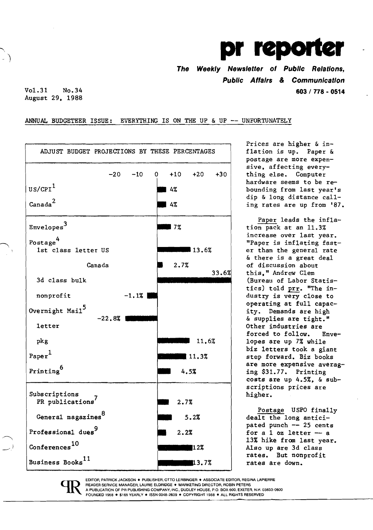## $\mathbf{p}$

**The Weekly Newsletter of Public Relations, Public Affairs & Communication**  Vol. 31 No.34 **603 I 778 • 0514** 

August 29. 1988

## ANNUAL BUDGETEER ISSUE: EVERYTHING IS ON THE UP & UP -- UNFORTUNATELY



Prices are higher & inpostage are more expensive. affecting every hardware seems to be rebounding from last year's dip & long distance calling rates are up from '87.

costs are up 4.5%. & subscriptions prices are Paper leads the inflation pack at an 11.3% increase over last year. "Paper is inflating fast-**13.6%** | er than the general rate & there is a great deal of discussion about 33.6% this." Andrew Clem (Bureau of Labor Statistics) told prr. "The industry is very close to operating at full capacity. Demands are high & supplies are tight." Other industries are forced to follow. Enve-11.6% lopes are up 7% while biz letters took a giant

> Postage USPO finally pated punch  $--$  25 cents<br>for a 1 oz letter  $--$  a Also up are 3d class<br>rates. But nonprofit

EDITOR, PATRICK JACKSON. PUBLISHER, OTTO LERBINGER · ASSOCIATE EDITOR, REGINA LAPIERRE READER SERVICE MANAGER, LAURIE ELDRIDGE . MARKETING DIRECTOR, ROBIN PETERS A pUBUCATION OF PR PUBLISHING COMPANY, INC., DUDLEY HOUSE, P.O. BOX 600, EXETER, N.H. 03833-0600 FOUNDED 1958 · \$165 YEARLY · ISSN 0048-2609 · COPYRIGHT 1988 · ALL RIGHTS RESERVED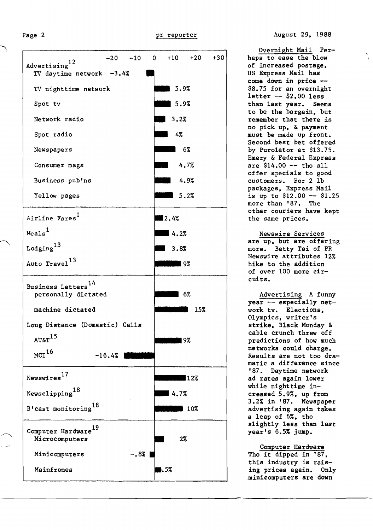Advertising<sup>12</sup>  $-20$   $-10$  0  $+10$   $+20$   $+30$ TV daytime network -3.4% TV nighttime network 15.9% Spot tv  $\overline{\phantom{0}}$  5.9% Network radio  $3.2%$ Spot radio 4% Newspapers 6% Consumer mags 4.7% Business pub'ns 1.9% Yellow pages 5.2% Airline Fares<sup>1</sup>  $2.4%$  $Meals<sup>1</sup>$  $4.2%$  $Loging<sup>13</sup>$  $13.8%$ <sup>13</sup> Auto Travel **\_.9%**  Business Letters<sup>14</sup> personally dictated **EXECUTE:** 6% machine dictated 15% Long Distance (Domestic) Calls **1988 AT&T**<sup>15</sup>  $MCI<sup>16</sup>$  -16.4% Newswires<sup>17</sup> and the set of the set of the set of the set of the set of the set of the set of the set of the set of the set of the set of the set of the set of the set of the set of the set of the set of the set of the se Newsclipping<sup>18</sup> Newsclipping<sup>10</sup><br>B'cast monitoring<sup>18</sup>  $\frac{18}{25}$  10% Computer Hardware<sup>19</sup> Microcomputers 2% Minicomputers -.8% Mainframes  $\blacksquare$ .5%

Overnight Mail Perhaps to ease the blow of increased postage, US Express Mail has come down in price - \$8.75 for an overnight letter -- \$2.00 less<br>than last year. Seems than last year. to be the bargain, but remember that there is no pick up, & payment must be made up front. Second best bet offered by Puro1ator at \$13.75. Emery & Federal Express are \$14.00 -- tho all offer specials to good customers. For 2 1b packages, Express Mail is up to  $$12.00 - $1.25$ more than '87. The other couriers have kept the same prices.

Newswire Services are up, but are offering more. Betty Tai of PR Newswire attributes 12% hike to the addition of over 100 more circuits.

Advertising A funny year -- especially network tv. Elections, Olympics, writer's strike, Black Monday & cable crunch threw off predictions of how much networks could charge. Results are not too dramatic a difference since '87. Daytime network ad rates again lower while nighttime increased 5.9%, up from 3.2% in '87. Newspaper advertising again takes a leap of 6%, tho slightly less than last year's 6.5% jump.

Computer Hardware Tho it dipped in '87, this industry is raising prices again. Only minicomputers are down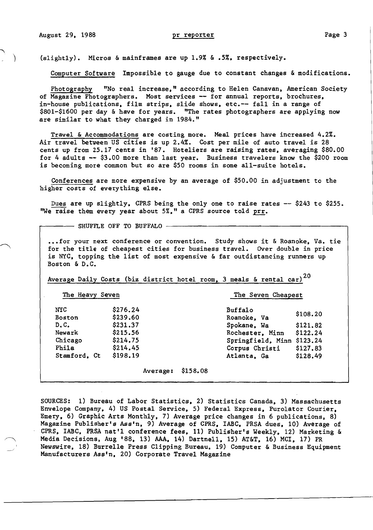(slightly). Micros & mainframes are up 1.9% & .5%, respectively.

Computer Software Impossible to gauge due to constant changes & modifications.

Photography "No real increase," according to Helen Canavan, American Society of Magazine Photographers. Most services -- for annual reports, brochures, in-house publications, film strips, slide shows, etc.-- fall in a range of \$801-\$1600 per day & have for years. "The rates photographers are applying now are similar to what they charged in 1984."

Travel & Accommodations are costing more. Meal prices have increased 4.2%. Air travel between US cities is up 2.4%. Cost per mile of auto travel is 28 cents up from 25.17 cents in '87. Hoteliers are raising rates. averaging \$80.00 for 4 adults -- \$3.00 more than last year. Business travelers know the \$200 room is becoming more common but so are \$50 rooms in some all-suite hotels.

Conferences are more expensive by an average of \$50.00 in adjustment to the higher costs of everything else.

Dues are up slightly, CPRS being the only one to raise rates -- \$243 to \$255. ''We raise them every year about 5%." a CPRS source told prr.

 $-$  SHUFFLE OFF TO BUFFALO  $-$ 

... for your next conference or convention. Study shows it & Roanoke, Va. tie for the title of cheapest cities for business travel. Over double in price is NYC. topping the list of most expensive & far outdistancing runners up Boston & D. C.

Buffalo

Roanoke. Va \$108.20

Rochester, Minn \$122.24

Average Daily Costs (biz district hotel room, 3 meals & rental car)<sup>20</sup>

The Heavy Seven The Seven Cheapest

NYC Boston \$276.24 \$239.60 D. C. \$231.37 Spokane. Wa \$121. 82 Chicago \$214.75 Springfield. Minn \$123.24 Phila \$214.45 Corpus Christi \$127.83 Stamford, Ct

Average: \$158.08

SOURCES: 1) Bureau of Labor Statistics. 2) Statistics Canada. 3) Massachusetts Envelope Company. 4) US Postal Service. 5) Federal Express. Purolator Courier. Emery. 6) Graphic Arts Monthly. 7) Average price changes in 6 publications. 8) Magazine Publisher's Ass'n, 9) Average of CPRS, IABC, PRSA dues, 10) Average of CPRS. lABC. PRSA nat'l conference fees. 11) Publisher's Weekly. 12) Marketing & Media Decisions, Aug '88. 13) AAA. 14) Dartne11. 15) AT&T. 16) MCI. 17) PR Newswire. 18) Burre11e Press Clipping Bureau. 19) Computer & Business Equipment Manufacturers Ase'n. 20) Corporate Travel Magazine